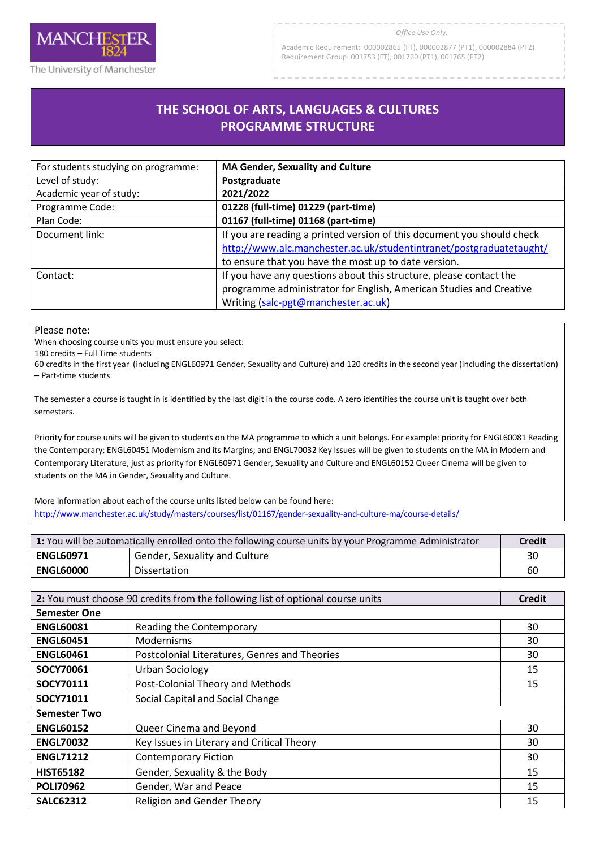

The University of Manchester

## *Office Use Only:*

Academic Requirement: 000002865 (FT), 000002877 (PT1), 000002884 (PT2) Requirement Group: 001753 (FT), 001760 (PT1), 001765 (PT2)

## **THE SCHOOL OF ARTS, LANGUAGES & CULTURES PROGRAMME STRUCTURE**

R

| For students studying on programme: | <b>MA Gender, Sexuality and Culture</b>                                |
|-------------------------------------|------------------------------------------------------------------------|
| Level of study:                     | Postgraduate                                                           |
| Academic year of study:             | 2021/2022                                                              |
| Programme Code:                     | 01228 (full-time) 01229 (part-time)                                    |
| Plan Code:                          | 01167 (full-time) 01168 (part-time)                                    |
| Document link:                      | If you are reading a printed version of this document you should check |
|                                     | http://www.alc.manchester.ac.uk/studentintranet/postgraduatetaught/    |
|                                     | to ensure that you have the most up to date version.                   |
| Contact:                            | If you have any questions about this structure, please contact the     |
|                                     | programme administrator for English, American Studies and Creative     |
|                                     | Writing (salc-pgt@manchester.ac.uk)                                    |

Please note:

When choosing course units you must ensure you select:

180 credits – Full Time students

60 credits in the first year (including ENGL60971 Gender, Sexuality and Culture) and 120 credits in the second year (including the dissertation) – Part-time students

The semester a course is taught in is identified by the last digit in the course code. A zero identifies the course unit is taught over both semesters.

Priority for course units will be given to students on the MA programme to which a unit belongs. For example: priority for ENGL60081 Reading the Contemporary; ENGL60451 Modernism and its Margins; and ENGL70032 Key Issues will be given to students on the MA in Modern and Contemporary Literature, just as priority for ENGL60971 Gender, Sexuality and Culture and ENGL60152 Queer Cinema will be given to students on the MA in Gender, Sexuality and Culture.

More information about each of the course units listed below can be found here: <http://www.manchester.ac.uk/study/masters/courses/list/01167/gender-sexuality-and-culture-ma/course-details/>

| 1: You will be automatically enrolled onto the following course units by your Programme Administrator |                               | <b>Credit</b> |
|-------------------------------------------------------------------------------------------------------|-------------------------------|---------------|
| <b>ENGL60971</b>                                                                                      | Gender, Sexuality and Culture | 30            |
| <b>ENGL60000</b>                                                                                      | Dissertation                  | 60            |

| 2: You must choose 90 credits from the following list of optional course units |                                               | <b>Credit</b> |
|--------------------------------------------------------------------------------|-----------------------------------------------|---------------|
| <b>Semester One</b>                                                            |                                               |               |
| <b>ENGL60081</b>                                                               | Reading the Contemporary                      | 30            |
| <b>ENGL60451</b>                                                               | Modernisms                                    | 30            |
| <b>ENGL60461</b>                                                               | Postcolonial Literatures, Genres and Theories | 30            |
| SOCY70061                                                                      | <b>Urban Sociology</b>                        | 15            |
| SOCY70111                                                                      | Post-Colonial Theory and Methods              | 15            |
| SOCY71011                                                                      | Social Capital and Social Change              |               |
| <b>Semester Two</b>                                                            |                                               |               |
| <b>ENGL60152</b>                                                               | Queer Cinema and Beyond                       | 30            |
| <b>ENGL70032</b>                                                               | Key Issues in Literary and Critical Theory    | 30            |
| <b>ENGL71212</b>                                                               | <b>Contemporary Fiction</b>                   | 30            |
| <b>HIST65182</b>                                                               | Gender, Sexuality & the Body                  | 15            |
| <b>POLI70962</b>                                                               | Gender, War and Peace                         | 15            |
| <b>SALC62312</b>                                                               | <b>Religion and Gender Theory</b>             | 15            |